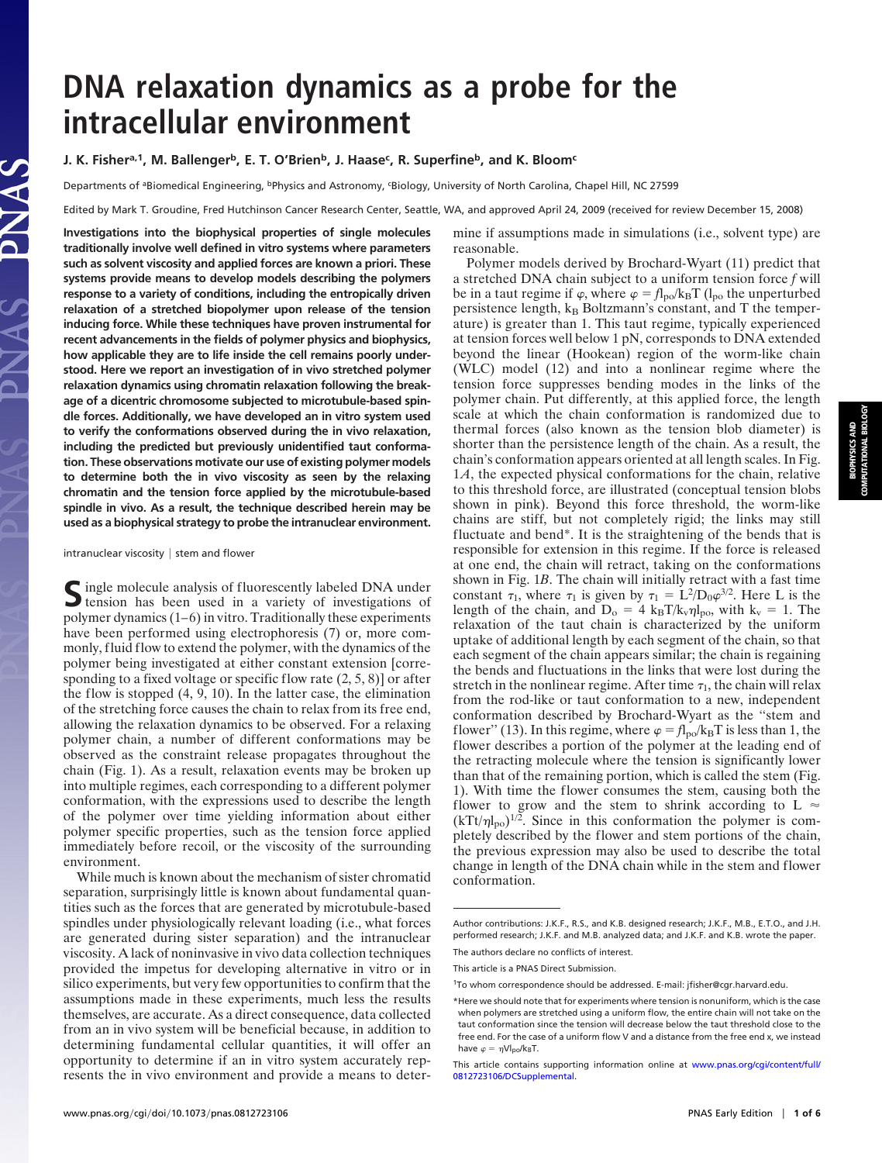# **DNA relaxation dynamics as a probe for the intracellular environment**

## **J. K. Fishera,1, M. Ballengerb, E. T. O'Brienb, J. Haasec , R. Superfineb, and K. Bloomc**

Departments of <sup>a</sup>Biomedical Engineering, <sup>b</sup>Physics and Astronomy, <sup>c</sup>Biology, University of North Carolina, Chapel Hill, NC 27599

Edited by Mark T. Groudine, Fred Hutchinson Cancer Research Center, Seattle, WA, and approved April 24, 2009 (received for review December 15, 2008)

**Investigations into the biophysical properties of single molecules traditionally involve well defined in vitro systems where parameters such as solvent viscosity and applied forces are known a priori. These systems provide means to develop models describing the polymers response to a variety of conditions, including the entropically driven relaxation of a stretched biopolymer upon release of the tension inducing force. While these techniques have proven instrumental for recent advancements in the fields of polymer physics and biophysics, how applicable they are to life inside the cell remains poorly understood. Here we report an investigation of in vivo stretched polymer relaxation dynamics using chromatin relaxation following the breakage of a dicentric chromosome subjected to microtubule-based spindle forces. Additionally, we have developed an in vitro system used to verify the conformations observed during the in vivo relaxation, including the predicted but previously unidentified taut conformation. These observations motivate our use of existing polymer models to determine both the in vivo viscosity as seen by the relaxing chromatin and the tension force applied by the microtubule-based spindle in vivo. As a result, the technique described herein may be used as a biophysical strategy to probe the intranuclear environment.**

 $intranuclear viscosity$  stem and flower

Single molecule analysis of fluorescently labeled DNA under<br>tension has been used in a variety of investigations of polymer dynamics (1–6) in vitro. Traditionally these experiments have been performed using electrophoresis (7) or, more commonly, fluid flow to extend the polymer, with the dynamics of the polymer being investigated at either constant extension [corresponding to a fixed voltage or specific flow rate (2, 5, 8)] or after the flow is stopped (4, 9, 10). In the latter case, the elimination of the stretching force causes the chain to relax from its free end, allowing the relaxation dynamics to be observed. For a relaxing polymer chain, a number of different conformations may be observed as the constraint release propagates throughout the chain (Fig. 1). As a result, relaxation events may be broken up into multiple regimes, each corresponding to a different polymer conformation, with the expressions used to describe the length of the polymer over time yielding information about either polymer specific properties, such as the tension force applied immediately before recoil, or the viscosity of the surrounding environment.

While much is known about the mechanism of sister chromatid separation, surprisingly little is known about fundamental quantities such as the forces that are generated by microtubule-based spindles under physiologically relevant loading (i.e., what forces are generated during sister separation) and the intranuclear viscosity. A lack of noninvasive in vivo data collection techniques provided the impetus for developing alternative in vitro or in silico experiments, but very few opportunities to confirm that the assumptions made in these experiments, much less the results themselves, are accurate. As a direct consequence, data collected from an in vivo system will be beneficial because, in addition to determining fundamental cellular quantities, it will offer an opportunity to determine if an in vitro system accurately represents the in vivo environment and provide a means to determine if assumptions made in simulations (i.e., solvent type) are reasonable.

Polymer models derived by Brochard-Wyart (11) predict that a stretched DNA chain subject to a uniform tension force *f* will be in a taut regime if  $\varphi$ , where  $\varphi = f_{\text{po}}/k_{\text{B}}T$  (l<sub>po</sub> the unperturbed persistence length,  $k_B$  Boltzmann's constant, and T the temperature) is greater than 1. This taut regime, typically experienced at tension forces well below 1 pN, corresponds to DNA extended beyond the linear (Hookean) region of the worm-like chain (WLC) model (12) and into a nonlinear regime where the tension force suppresses bending modes in the links of the polymer chain. Put differently, at this applied force, the length scale at which the chain conformation is randomized due to thermal forces (also known as the tension blob diameter) is shorter than the persistence length of the chain. As a result, the chain's conformation appears oriented at all length scales. In Fig. 1*A*, the expected physical conformations for the chain, relative to this threshold force, are illustrated (conceptual tension blobs shown in pink). Beyond this force threshold, the worm-like chains are stiff, but not completely rigid; the links may still fluctuate and bend\*. It is the straightening of the bends that is responsible for extension in this regime. If the force is released at one end, the chain will retract, taking on the conformations shown in Fig. 1*B*. The chain will initially retract with a fast time constant  $\tau_1$ , where  $\tau_1$  is given by  $\tau_1 = L^2/D_0\varphi^{3/2}$ . Here L is the length of the chain, and  $D_0 = 4 \text{ kgT/k}_v \eta l_{po}$ , with  $k_v = 1$ . The relaxation of the taut chain is characterized by the uniform uptake of additional length by each segment of the chain, so that each segment of the chain appears similar; the chain is regaining the bends and fluctuations in the links that were lost during the stretch in the nonlinear regime. After time  $\tau_1$ , the chain will relax from the rod-like or taut conformation to a new, independent conformation described by Brochard-Wyart as the ''stem and flower" (13). In this regime, where  $\varphi = f_{\text{p0}}/k_{\text{B}}T$  is less than 1, the flower describes a portion of the polymer at the leading end of the retracting molecule where the tension is significantly lower than that of the remaining portion, which is called the stem (Fig. 1). With time the flower consumes the stem, causing both the flower to grow and the stem to shrink according to L  $\approx$  $(kTt/\eta_{\rm{ho}})^{1/2}$ . Since in this conformation the polymer is completely described by the flower and stem portions of the chain, the previous expression may also be used to describe the total change in length of the DNA chain while in the stem and flower conformation.

Author contributions: J.K.F., R.S., and K.B. designed research; J.K.F., M.B., E.T.O., and J.H. performed research; J.K.F. and M.B. analyzed data; and J.K.F. and K.B. wrote the paper.

The authors declare no conflicts of interest.

This article is a PNAS Direct Submission.

<sup>1</sup>To whom correspondence should be addressed. E-mail: jfisher@cgr.harvard.edu.

<sup>\*</sup>Here we should note that for experiments where tension is nonuniform, which is the case when polymers are stretched using a uniform flow, the entire chain will not take on the taut conformation since the tension will decrease below the taut threshold close to the free end. For the case of a uniform flow V and a distance from the free end x, we instead have  $\varphi = \eta \mathsf{Vl}_{\mathsf{po}}/\mathsf{k}_{\mathsf{B}}\mathsf{T}.$ 

This article contains supporting information online at [www.pnas.org/cgi/content/full/](http://www.pnas.org/cgi/content/full/0812723106/DCSupplemental) [0812723106/DCSupplemental.](http://www.pnas.org/cgi/content/full/0812723106/DCSupplemental)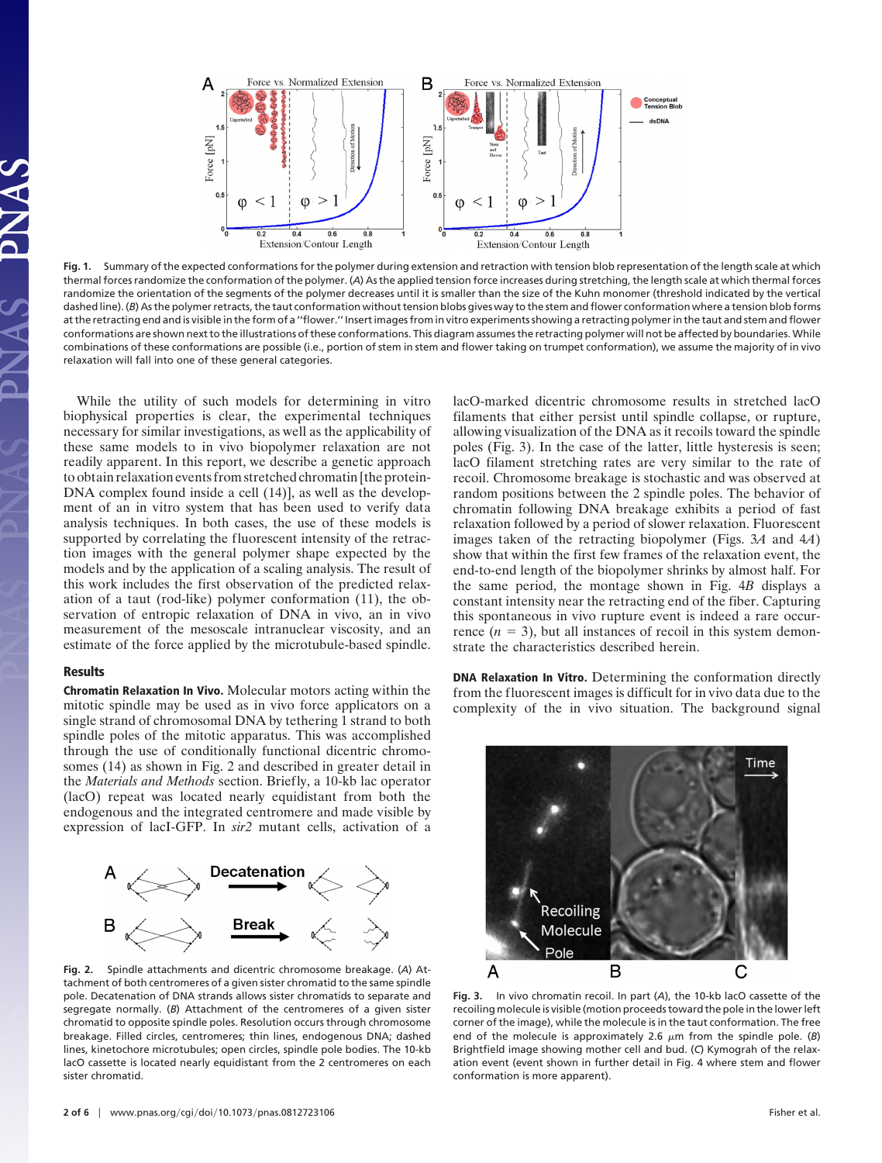

**Fig. 1.** Summary of the expected conformations for the polymer during extension and retraction with tension blob representation of the length scale at which thermal forces randomize the conformation of the polymer. (*A*) As the applied tension force increases during stretching, the length scale at which thermal forces randomize the orientation of the segments of the polymer decreases until it is smaller than the size of the Kuhn monomer (threshold indicated by the vertical dashed line). (*B*) As the polymer retracts, the taut conformation without tension blobs gives way to the stem and flower conformation where a tension blob forms at the retracting end and is visible in the form of a ''flower.'' Insert images from in vitro experiments showing a retracting polymer in the taut and stem and flower conformations are shown next to the illustrations of these conformations. This diagram assumes the retracting polymer will not be affected by boundaries. While combinations of these conformations are possible (i.e., portion of stem in stem and flower taking on trumpet conformation), we assume the majority of in vivo relaxation will fall into one of these general categories.

While the utility of such models for determining in vitro biophysical properties is clear, the experimental techniques necessary for similar investigations, as well as the applicability of these same models to in vivo biopolymer relaxation are not readily apparent. In this report, we describe a genetic approach to obtain relaxation events from stretched chromatin [the protein-DNA complex found inside a cell (14)], as well as the development of an in vitro system that has been used to verify data analysis techniques. In both cases, the use of these models is supported by correlating the fluorescent intensity of the retraction images with the general polymer shape expected by the models and by the application of a scaling analysis. The result of this work includes the first observation of the predicted relaxation of a taut (rod-like) polymer conformation (11), the observation of entropic relaxation of DNA in vivo, an in vivo measurement of the mesoscale intranuclear viscosity, and an estimate of the force applied by the microtubule-based spindle.

#### **Results**

**Chromatin Relaxation In Vivo.** Molecular motors acting within the mitotic spindle may be used as in vivo force applicators on a single strand of chromosomal DNA by tethering 1 strand to both spindle poles of the mitotic apparatus. This was accomplished through the use of conditionally functional dicentric chromosomes (14) as shown in Fig. 2 and described in greater detail in the *Materials and Methods* section. Briefly, a 10-kb lac operator (lacO) repeat was located nearly equidistant from both the endogenous and the integrated centromere and made visible by expression of lacI-GFP. In *sir2* mutant cells, activation of a



**Fig. 2.** Spindle attachments and dicentric chromosome breakage. (*A*) Attachment of both centromeres of a given sister chromatid to the same spindle pole. Decatenation of DNA strands allows sister chromatids to separate and segregate normally. (*B*) Attachment of the centromeres of a given sister chromatid to opposite spindle poles. Resolution occurs through chromosome breakage. Filled circles, centromeres; thin lines, endogenous DNA; dashed lines, kinetochore microtubules; open circles, spindle pole bodies. The 10-kb lacO cassette is located nearly equidistant from the 2 centromeres on each sister chromatid.

lacO-marked dicentric chromosome results in stretched lacO filaments that either persist until spindle collapse, or rupture, allowing visualization of the DNA as it recoils toward the spindle poles (Fig. 3). In the case of the latter, little hysteresis is seen; lacO filament stretching rates are very similar to the rate of recoil. Chromosome breakage is stochastic and was observed at random positions between the 2 spindle poles. The behavior of chromatin following DNA breakage exhibits a period of fast relaxation followed by a period of slower relaxation. Fluorescent images taken of the retracting biopolymer (Figs. 3*A* and 4*A*) show that within the first few frames of the relaxation event, the end-to-end length of the biopolymer shrinks by almost half. For the same period, the montage shown in Fig. 4*B* displays a constant intensity near the retracting end of the fiber. Capturing this spontaneous in vivo rupture event is indeed a rare occurrence  $(n = 3)$ , but all instances of recoil in this system demonstrate the characteristics described herein.

**DNA Relaxation In Vitro.** Determining the conformation directly from the fluorescent images is difficult for in vivo data due to the complexity of the in vivo situation. The background signal



**Fig. 3.** In vivo chromatin recoil. In part (*A*), the 10-kb lacO cassette of the recoiling molecule is visible (motion proceeds toward the pole in the lower left corner of the image), while the molecule is in the taut conformation. The free end of the molecule is approximately 2.6  $\mu$ m from the spindle pole. (*B*) Brightfield image showing mother cell and bud. (*C*) Kymograh of the relaxation event (event shown in further detail in Fig. 4 where stem and flower conformation is more apparent).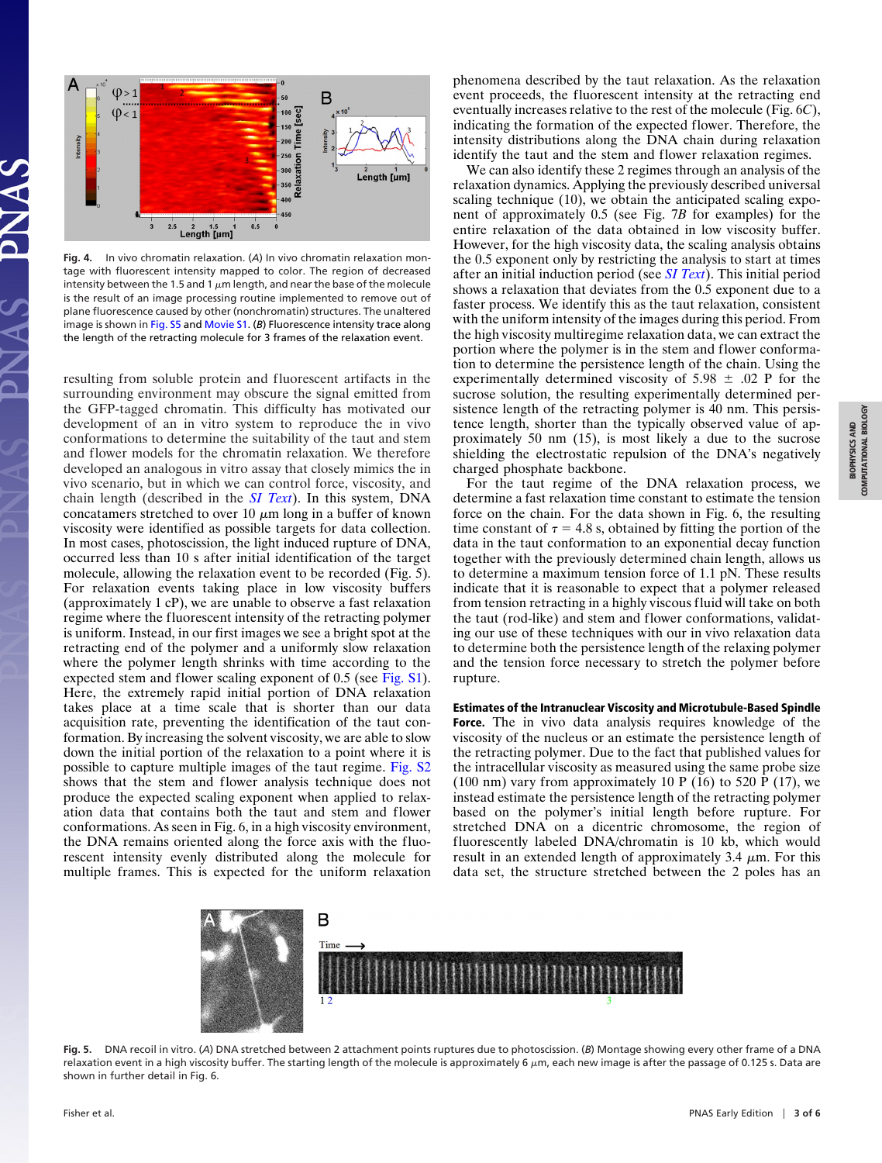

**Fig. 4.** In vivo chromatin relaxation. (*A*) In vivo chromatin relaxation montage with fluorescent intensity mapped to color. The region of decreased intensity between the 1.5 and 1  $\mu$ m length, and near the base of the molecule is the result of an image processing routine implemented to remove out of plane fluorescence caused by other (nonchromatin) structures. The unaltered image is shown in [Fig. S5](http://www.pnas.org/cgi/data/0812723106/DCSupplemental/Supplemental_PDF#nameddest=SF5) and [Movie S1.](http://www.pnas.org/content/vol0/issue2009/images/data/0812723106/DCSupplemental/SM1.avi) (*B*) Fluorescence intensity trace along the length of the retracting molecule for 3 frames of the relaxation event.

resulting from soluble protein and fluorescent artifacts in the surrounding environment may obscure the signal emitted from the GFP-tagged chromatin. This difficulty has motivated our development of an in vitro system to reproduce the in vivo conformations to determine the suitability of the taut and stem and flower models for the chromatin relaxation. We therefore developed an analogous in vitro assay that closely mimics the in vivo scenario, but in which we can control force, viscosity, and chain length (described in the *[SI Text](http://www.pnas.org/cgi/data/0812723106/DCSupplemental/Supplemental_PDF#nameddest=STXT)*). In this system, DNA concatamers stretched to over 10  $\mu$ m long in a buffer of known viscosity were identified as possible targets for data collection. In most cases, photoscission, the light induced rupture of DNA, occurred less than 10 s after initial identification of the target molecule, allowing the relaxation event to be recorded (Fig. 5). For relaxation events taking place in low viscosity buffers (approximately 1 cP), we are unable to observe a fast relaxation regime where the fluorescent intensity of the retracting polymer is uniform. Instead, in our first images we see a bright spot at the retracting end of the polymer and a uniformly slow relaxation where the polymer length shrinks with time according to the expected stem and flower scaling exponent of 0.5 (see [Fig. S1\)](http://www.pnas.org/cgi/data/0812723106/DCSupplemental/Supplemental_PDF#nameddest=SF1). Here, the extremely rapid initial portion of DNA relaxation takes place at a time scale that is shorter than our data acquisition rate, preventing the identification of the taut conformation. By increasing the solvent viscosity, we are able to slow down the initial portion of the relaxation to a point where it is possible to capture multiple images of the taut regime. [Fig. S2](http://www.pnas.org/cgi/data/0812723106/DCSupplemental/Supplemental_PDF#nameddest=SF2) shows that the stem and flower analysis technique does not produce the expected scaling exponent when applied to relaxation data that contains both the taut and stem and flower conformations. As seen in Fig. 6, in a high viscosity environment, the DNA remains oriented along the force axis with the fluorescent intensity evenly distributed along the molecule for multiple frames. This is expected for the uniform relaxation

phenomena described by the taut relaxation. As the relaxation event proceeds, the fluorescent intensity at the retracting end eventually increases relative to the rest of the molecule (Fig. 6*C*), indicating the formation of the expected flower. Therefore, the intensity distributions along the DNA chain during relaxation identify the taut and the stem and flower relaxation regimes.

We can also identify these 2 regimes through an analysis of the relaxation dynamics. Applying the previously described universal scaling technique (10), we obtain the anticipated scaling exponent of approximately 0.5 (see Fig. 7*B* for examples) for the entire relaxation of the data obtained in low viscosity buffer. However, for the high viscosity data, the scaling analysis obtains the 0.5 exponent only by restricting the analysis to start at times after an initial induction period (see *[SI Text](http://www.pnas.org/cgi/data/0812723106/DCSupplemental/Supplemental_PDF#nameddest=STXT)*). This initial period shows a relaxation that deviates from the 0.5 exponent due to a faster process. We identify this as the taut relaxation, consistent with the uniform intensity of the images during this period. From the high viscosity multiregime relaxation data, we can extract the portion where the polymer is in the stem and flower conformation to determine the persistence length of the chain. Using the experimentally determined viscosity of  $5.98 \pm .02$  P for the sucrose solution, the resulting experimentally determined persistence length of the retracting polymer is 40 nm. This persistence length, shorter than the typically observed value of approximately 50 nm (15), is most likely a due to the sucrose shielding the electrostatic repulsion of the DNA's negatively charged phosphate backbone.

For the taut regime of the DNA relaxation process, we determine a fast relaxation time constant to estimate the tension force on the chain. For the data shown in Fig. 6, the resulting time constant of  $\tau = 4.8$  s, obtained by fitting the portion of the data in the taut conformation to an exponential decay function together with the previously determined chain length, allows us to determine a maximum tension force of 1.1 pN. These results indicate that it is reasonable to expect that a polymer released from tension retracting in a highly viscous fluid will take on both the taut (rod-like) and stem and flower conformations, validating our use of these techniques with our in vivo relaxation data to determine both the persistence length of the relaxing polymer and the tension force necessary to stretch the polymer before rupture.

## **Estimates of the Intranuclear Viscosity and Microtubule-Based Spindle**

**Force.** The in vivo data analysis requires knowledge of the viscosity of the nucleus or an estimate the persistence length of the retracting polymer. Due to the fact that published values for the intracellular viscosity as measured using the same probe size (100 nm) vary from approximately 10 P (16) to 520 P (17), we instead estimate the persistence length of the retracting polymer based on the polymer's initial length before rupture. For stretched DNA on a dicentric chromosome, the region of fluorescently labeled DNA/chromatin is 10 kb, which would result in an extended length of approximately 3.4  $\mu$ m. For this data set, the structure stretched between the 2 poles has an



**Fig. 5.** DNA recoil in vitro. (*A*) DNA stretched between 2 attachment points ruptures due to photoscission. (*B*) Montage showing every other frame of a DNA relaxation event in a high viscosity buffer. The starting length of the molecule is approximately 6  $\mu$ m, each new image is after the passage of 0.125 s. Data are shown in further detail in Fig. 6.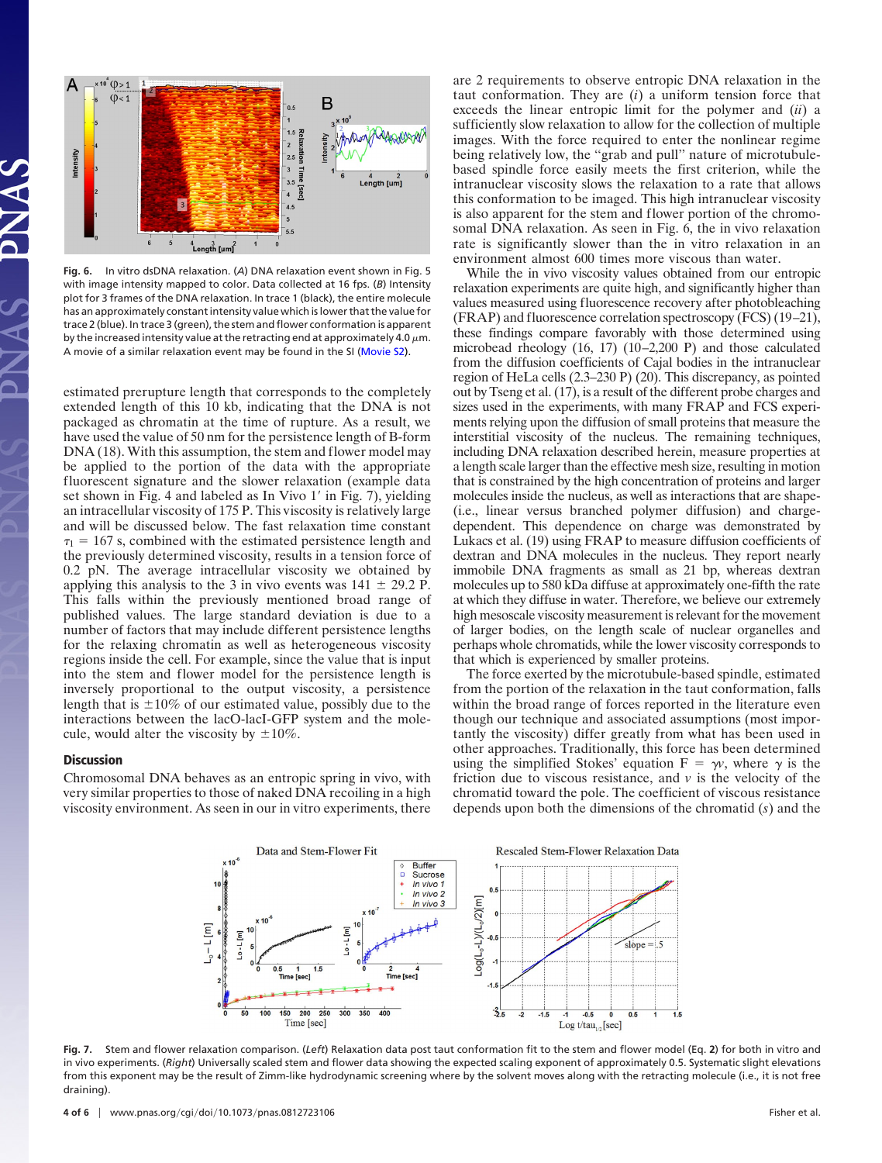

**Fig. 6.** In vitro dsDNA relaxation. (*A*) DNA relaxation event shown in Fig. 5 with image intensity mapped to color. Data collected at 16 fps. (*B*) Intensity plot for 3 frames of the DNA relaxation. In trace 1 (black), the entire molecule has an approximately constant intensity value which is lower that the value for trace 2 (blue). In trace 3 (green), the stem and flower conformation is apparent by the increased intensity value at the retracting end at approximately 4.0  $\mu$ m. A movie of a similar relaxation event may be found in the SI [\(Movie S2\)](http://www.pnas.org/content/vol0/issue2009/images/data/0812723106/DCSupplemental/SM2.avi).

estimated prerupture length that corresponds to the completely extended length of this 10 kb, indicating that the DNA is not packaged as chromatin at the time of rupture. As a result, we have used the value of 50 nm for the persistence length of B-form DNA (18). With this assumption, the stem and flower model may be applied to the portion of the data with the appropriate fluorescent signature and the slower relaxation (example data set shown in Fig. 4 and labeled as In Vivo 1' in Fig. 7), yielding an intracellular viscosity of 175 P. This viscosity is relatively large and will be discussed below. The fast relaxation time constant  $\tau_1$  = 167 s, combined with the estimated persistence length and the previously determined viscosity, results in a tension force of 0.2 pN. The average intracellular viscosity we obtained by applying this analysis to the 3 in vivo events was  $141 \pm 29.2$  P. This falls within the previously mentioned broad range of published values. The large standard deviation is due to a number of factors that may include different persistence lengths for the relaxing chromatin as well as heterogeneous viscosity regions inside the cell. For example, since the value that is input into the stem and flower model for the persistence length is inversely proportional to the output viscosity, a persistence length that is  $\pm 10\%$  of our estimated value, possibly due to the interactions between the lacO-lacI-GFP system and the molecule, would alter the viscosity by  $\pm 10\%$ .

#### **Discussion**

Chromosomal DNA behaves as an entropic spring in vivo, with very similar properties to those of naked DNA recoiling in a high viscosity environment. As seen in our in vitro experiments, there are 2 requirements to observe entropic DNA relaxation in the taut conformation. They are (*i*) a uniform tension force that exceeds the linear entropic limit for the polymer and (*ii*) a sufficiently slow relaxation to allow for the collection of multiple images. With the force required to enter the nonlinear regime being relatively low, the ''grab and pull'' nature of microtubulebased spindle force easily meets the first criterion, while the intranuclear viscosity slows the relaxation to a rate that allows this conformation to be imaged. This high intranuclear viscosity is also apparent for the stem and flower portion of the chromosomal DNA relaxation. As seen in Fig. 6, the in vivo relaxation rate is significantly slower than the in vitro relaxation in an environment almost 600 times more viscous than water.

While the in vivo viscosity values obtained from our entropic relaxation experiments are quite high, and significantly higher than values measured using fluorescence recovery after photobleaching (FRAP) and fluorescence correlation spectroscopy (FCS) (19–21), these findings compare favorably with those determined using microbead rheology (16, 17) (10–2,200 P) and those calculated from the diffusion coefficients of Cajal bodies in the intranuclear region of HeLa cells (2.3–230 P) (20). This discrepancy, as pointed out by Tseng et al. (17), is a result of the different probe charges and sizes used in the experiments, with many FRAP and FCS experiments relying upon the diffusion of small proteins that measure the interstitial viscosity of the nucleus. The remaining techniques, including DNA relaxation described herein, measure properties at a length scale larger than the effective mesh size, resulting in motion that is constrained by the high concentration of proteins and larger molecules inside the nucleus, as well as interactions that are shape- (i.e., linear versus branched polymer diffusion) and chargedependent. This dependence on charge was demonstrated by Lukacs et al. (19) using FRAP to measure diffusion coefficients of dextran and DNA molecules in the nucleus. They report nearly immobile DNA fragments as small as 21 bp, whereas dextran molecules up to 580 kDa diffuse at approximately one-fifth the rate at which they diffuse in water. Therefore, we believe our extremely high mesoscale viscosity measurement is relevant for the movement of larger bodies, on the length scale of nuclear organelles and perhaps whole chromatids, while the lower viscosity corresponds to that which is experienced by smaller proteins.

The force exerted by the microtubule-based spindle, estimated from the portion of the relaxation in the taut conformation, falls within the broad range of forces reported in the literature even though our technique and associated assumptions (most importantly the viscosity) differ greatly from what has been used in other approaches. Traditionally, this force has been determined using the simplified Stokes' equation  $F = \gamma v$ , where  $\gamma$  is the friction due to viscous resistance, and *v* is the velocity of the chromatid toward the pole. The coefficient of viscous resistance depends upon both the dimensions of the chromatid (*s*) and the



**Fig. 7.** Stem and flower relaxation comparison. (*Left*) Relaxation data post taut conformation fit to the stem and flower model (Eq. **2**) for both in vitro and in vivo experiments. (*Right*) Universally scaled stem and flower data showing the expected scaling exponent of approximately 0.5. Systematic slight elevations from this exponent may be the result of Zimm-like hydrodynamic screening where by the solvent moves along with the retracting molecule (i.e., it is not free draining).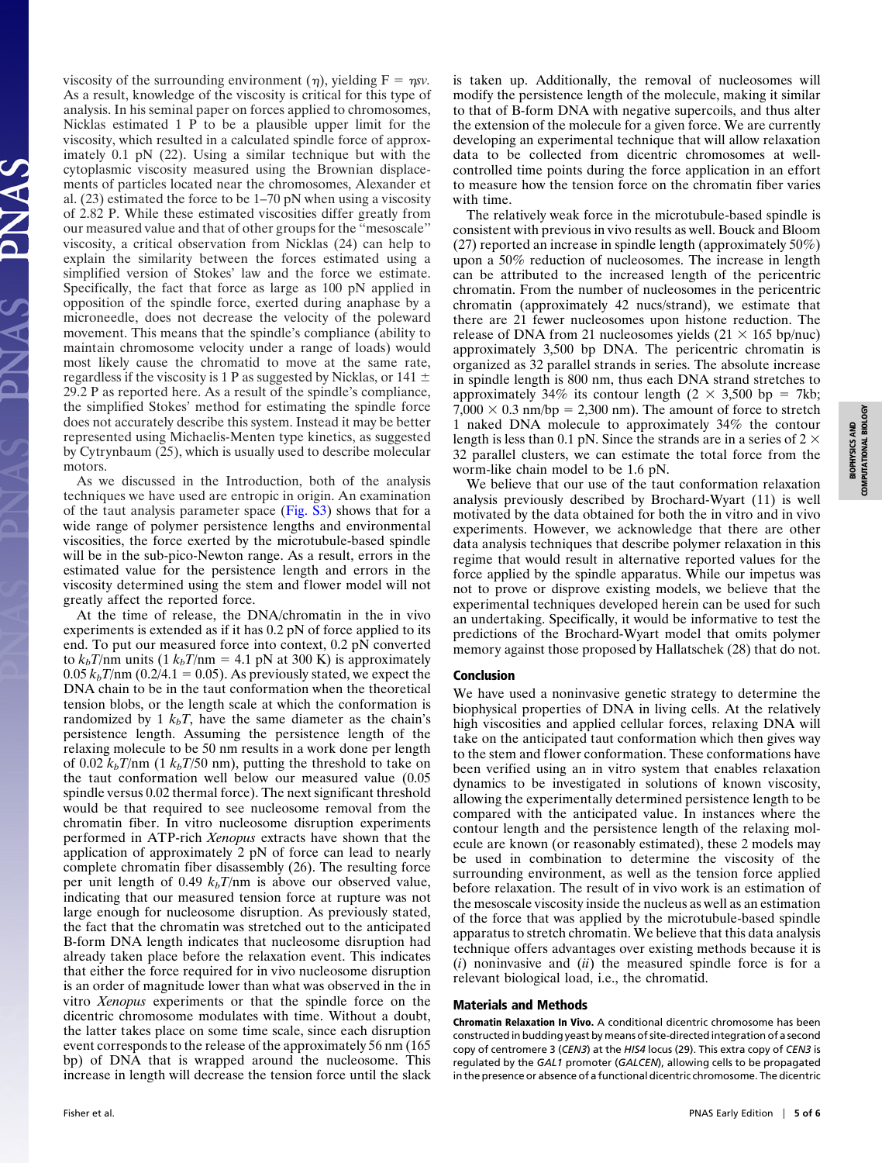viscosity of the surrounding environment  $(\eta)$ , yielding  $F = \eta s v$ . As a result, knowledge of the viscosity is critical for this type of analysis. In his seminal paper on forces applied to chromosomes, Nicklas estimated 1 P to be a plausible upper limit for the viscosity, which resulted in a calculated spindle force of approximately 0.1 pN (22). Using a similar technique but with the cytoplasmic viscosity measured using the Brownian displacements of particles located near the chromosomes, Alexander et al. (23) estimated the force to be 1–70 pN when using a viscosity of 2.82 P. While these estimated viscosities differ greatly from our measured value and that of other groups for the ''mesoscale'' viscosity, a critical observation from Nicklas (24) can help to explain the similarity between the forces estimated using a simplified version of Stokes' law and the force we estimate. Specifically, the fact that force as large as 100 pN applied in opposition of the spindle force, exerted during anaphase by a microneedle, does not decrease the velocity of the poleward movement. This means that the spindle's compliance (ability to maintain chromosome velocity under a range of loads) would most likely cause the chromatid to move at the same rate, regardless if the viscosity is 1 P as suggested by Nicklas, or 141  $\pm$ 29.2 P as reported here. As a result of the spindle's compliance, the simplified Stokes' method for estimating the spindle force does not accurately describe this system. Instead it may be better represented using Michaelis-Menten type kinetics, as suggested by Cytrynbaum (25), which is usually used to describe molecular motors.

As we discussed in the Introduction, both of the analysis techniques we have used are entropic in origin. An examination of the taut analysis parameter space [\(Fig. S3\)](http://www.pnas.org/cgi/data/0812723106/DCSupplemental/Supplemental_PDF#nameddest=SF3) shows that for a wide range of polymer persistence lengths and environmental viscosities, the force exerted by the microtubule-based spindle will be in the sub-pico-Newton range. As a result, errors in the estimated value for the persistence length and errors in the viscosity determined using the stem and flower model will not greatly affect the reported force.

At the time of release, the DNA/chromatin in the in vivo experiments is extended as if it has 0.2 pN of force applied to its end. To put our measured force into context, 0.2 pN converted to  $k_bT/nm$  units (1  $k_bT/nm = 4.1$  pN at 300 K) is approximately  $0.05$   $k_bT$ /nm (0.2/4.1 = 0.05). As previously stated, we expect the DNA chain to be in the taut conformation when the theoretical tension blobs, or the length scale at which the conformation is randomized by 1  $k_bT$ , have the same diameter as the chain's persistence length. Assuming the persistence length of the relaxing molecule to be 50 nm results in a work done per length of  $0.02 \ k_bT/nm$  (1  $k_bT/50$  nm), putting the threshold to take on the taut conformation well below our measured value (0.05 spindle versus 0.02 thermal force). The next significant threshold would be that required to see nucleosome removal from the chromatin fiber. In vitro nucleosome disruption experiments performed in ATP-rich *Xenopus* extracts have shown that the application of approximately 2 pN of force can lead to nearly complete chromatin fiber disassembly (26). The resulting force per unit length of 0.49  $k_bT/mm$  is above our observed value, indicating that our measured tension force at rupture was not large enough for nucleosome disruption. As previously stated, the fact that the chromatin was stretched out to the anticipated B-form DNA length indicates that nucleosome disruption had already taken place before the relaxation event. This indicates that either the force required for in vivo nucleosome disruption is an order of magnitude lower than what was observed in the in vitro *Xenopus* experiments or that the spindle force on the dicentric chromosome modulates with time. Without a doubt, the latter takes place on some time scale, since each disruption event corresponds to the release of the approximately 56 nm (165 bp) of DNA that is wrapped around the nucleosome. This increase in length will decrease the tension force until the slack

is taken up. Additionally, the removal of nucleosomes will modify the persistence length of the molecule, making it similar to that of B-form DNA with negative supercoils, and thus alter the extension of the molecule for a given force. We are currently developing an experimental technique that will allow relaxation data to be collected from dicentric chromosomes at wellcontrolled time points during the force application in an effort to measure how the tension force on the chromatin fiber varies with time.

The relatively weak force in the microtubule-based spindle is consistent with previous in vivo results as well. Bouck and Bloom (27) reported an increase in spindle length (approximately 50%) upon a 50% reduction of nucleosomes. The increase in length can be attributed to the increased length of the pericentric chromatin. From the number of nucleosomes in the pericentric chromatin (approximately 42 nucs/strand), we estimate that there are 21 fewer nucleosomes upon histone reduction. The release of DNA from 21 nucleosomes yields  $(21 \times 165 \text{ bp/nuc})$ approximately 3,500 bp DNA. The pericentric chromatin is organized as 32 parallel strands in series. The absolute increase in spindle length is 800 nm, thus each DNA strand stretches to approximately 34% its contour length ( $2 \times 3,500$  bp = 7kb;  $7,000 \times 0.3$  nm/bp = 2,300 nm). The amount of force to stretch 1 naked DNA molecule to approximately 34% the contour length is less than 0.1 pN. Since the strands are in a series of  $2 \times$ 32 parallel clusters, we can estimate the total force from the worm-like chain model to be 1.6 pN.

We believe that our use of the taut conformation relaxation analysis previously described by Brochard-Wyart (11) is well motivated by the data obtained for both the in vitro and in vivo experiments. However, we acknowledge that there are other data analysis techniques that describe polymer relaxation in this regime that would result in alternative reported values for the force applied by the spindle apparatus. While our impetus was not to prove or disprove existing models, we believe that the experimental techniques developed herein can be used for such an undertaking. Specifically, it would be informative to test the predictions of the Brochard-Wyart model that omits polymer memory against those proposed by Hallatschek (28) that do not.

## **Conclusion**

We have used a noninvasive genetic strategy to determine the biophysical properties of DNA in living cells. At the relatively high viscosities and applied cellular forces, relaxing DNA will take on the anticipated taut conformation which then gives way to the stem and flower conformation. These conformations have been verified using an in vitro system that enables relaxation dynamics to be investigated in solutions of known viscosity, allowing the experimentally determined persistence length to be compared with the anticipated value. In instances where the contour length and the persistence length of the relaxing molecule are known (or reasonably estimated), these 2 models may be used in combination to determine the viscosity of the surrounding environment, as well as the tension force applied before relaxation. The result of in vivo work is an estimation of the mesoscale viscosity inside the nucleus as well as an estimation of the force that was applied by the microtubule-based spindle apparatus to stretch chromatin. We believe that this data analysis technique offers advantages over existing methods because it is (*i*) noninvasive and (*ii*) the measured spindle force is for a relevant biological load, i.e., the chromatid.

## **Materials and Methods**

**Chromatin Relaxation In Vivo.** A conditional dicentric chromosome has been constructed in budding yeast by means of site-directed integration of a second copy of centromere 3 (*CEN3*) at the *HIS4* locus (29). This extra copy of *CEN3* is regulated by the *GAL1* promoter (*GALCEN*), allowing cells to be propagated in the presence or absence of a functional dicentric chromosome. The dicentric